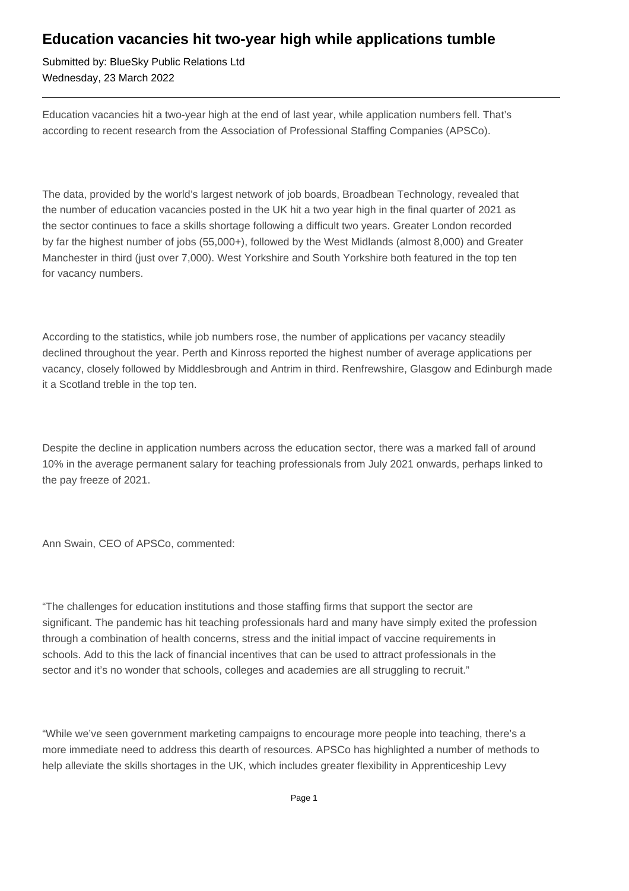## **Education vacancies hit two-year high while applications tumble**

Submitted by: BlueSky Public Relations Ltd Wednesday, 23 March 2022

Education vacancies hit a two-year high at the end of last year, while application numbers fell. That's according to recent research from the Association of Professional Staffing Companies (APSCo).

The data, provided by the world's largest network of job boards, Broadbean Technology, revealed that the number of education vacancies posted in the UK hit a two year high in the final quarter of 2021 as the sector continues to face a skills shortage following a difficult two years. Greater London recorded by far the highest number of jobs (55,000+), followed by the West Midlands (almost 8,000) and Greater Manchester in third (just over 7,000). West Yorkshire and South Yorkshire both featured in the top ten for vacancy numbers.

According to the statistics, while job numbers rose, the number of applications per vacancy steadily declined throughout the year. Perth and Kinross reported the highest number of average applications per vacancy, closely followed by Middlesbrough and Antrim in third. Renfrewshire, Glasgow and Edinburgh made it a Scotland treble in the top ten.

Despite the decline in application numbers across the education sector, there was a marked fall of around 10% in the average permanent salary for teaching professionals from July 2021 onwards, perhaps linked to the pay freeze of 2021.

Ann Swain, CEO of APSCo, commented:

"The challenges for education institutions and those staffing firms that support the sector are significant. The pandemic has hit teaching professionals hard and many have simply exited the profession through a combination of health concerns, stress and the initial impact of vaccine requirements in schools. Add to this the lack of financial incentives that can be used to attract professionals in the sector and it's no wonder that schools, colleges and academies are all struggling to recruit."

"While we've seen government marketing campaigns to encourage more people into teaching, there's a more immediate need to address this dearth of resources. APSCo has highlighted a number of methods to help alleviate the skills shortages in the UK, which includes greater flexibility in Apprenticeship Levy